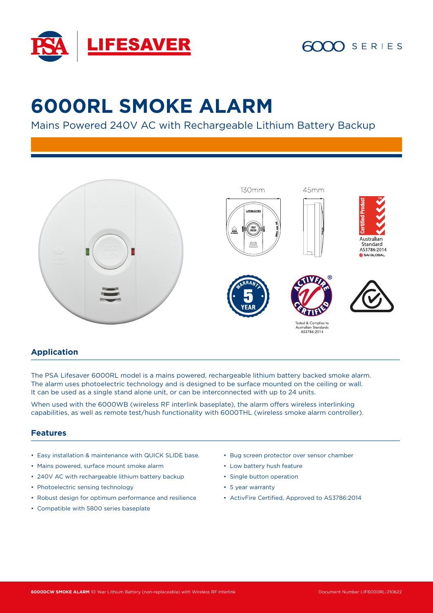

# $SERIES$

# **6000RL SMOKE ALARM**

Mains Powered 240V AC with Rechargeable Lithium Battery Backup



### **Application**

The PSA Lifesaver 6000RL model is a mains powered, rechargeable lithium battery backed smoke alarm. The alarm uses photoelectric technology and is designed to be surface mounted on the ceiling or wall. It can be used as a single stand alone unit, or can be interconnected with up to 24 units.

When used with the 6000WB (wireless RF interlink baseplate), the alarm offers wireless interlinking capabilities, as well as remote test/hush functionality with 6000THL (wireless smoke alarm controller).

#### **Features**

- Easy installation & maintenance with QUICK SLIDE base.
- Mains powered, surface mount smoke alarm
- 240V AC with rechargeable lithium battery backup
- Photoelectric sensing technology
- Robust design for optimum performance and resilience
- Compatible with 5800 series baseplate
- Bug screen protector over sensor chamber
- Low battery hush feature
- Single button operation
- 5 year warranty
- ActivFire Certified, Approved to AS3786:2014